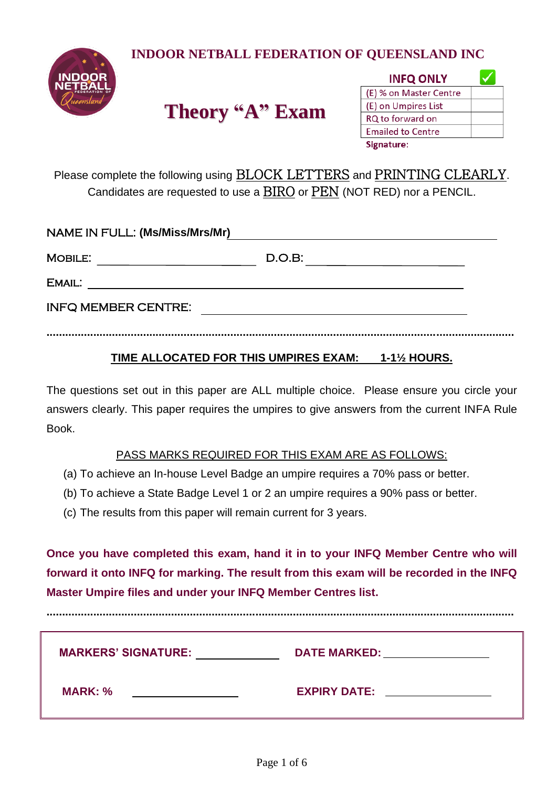**INDOOR NETBALL FEDERATION OF QUEENSLAND INC**



# **Theory "A" Exam**

| <b>INFQ ONLY</b>         |  |
|--------------------------|--|
| (E) % on Master Centre   |  |
| (E) on Umpires List      |  |
| RQ to forward on         |  |
| <b>Emailed to Centre</b> |  |
| Signature:               |  |

Please complete the following using BLOCK LETTERS and PRINTING CLEARLY. Candidates are requested to use a BIRO or PEN (NOT RED) nor a PENCIL.

| <b>NAME IN FULL: (Ms/Miss/Mrs/Mr)</b> |        |  |
|---------------------------------------|--------|--|
| MOBILE:                               | D.O.B: |  |
| EMAIL:                                |        |  |
| <b>INFQ MEMBER CENTRE:</b>            |        |  |
|                                       |        |  |

### **TIME ALLOCATED FOR THIS UMPIRES EXAM: 1-1½ HOURS.**

The questions set out in this paper are ALL multiple choice. Please ensure you circle your answers clearly. This paper requires the umpires to give answers from the current INFA Rule Book.

#### PASS MARKS REQUIRED FOR THIS EXAM ARE AS FOLLOWS:

- (a) To achieve an In-house Level Badge an umpire requires a 70% pass or better.
- (b) To achieve a State Badge Level 1 or 2 an umpire requires a 90% pass or better.
- (c) The results from this paper will remain current for 3 years.

**Once you have completed this exam, hand it in to your INFQ Member Centre who will forward it onto INFQ for marking. The result from this exam will be recorded in the INFQ Master Umpire files and under your INFQ Member Centres list.**

**......................................................................................................................................................**

| <b>MARKERS' SIGNATURE:</b> | DATE MARKED: NATIONAL PROPERTY AND THE STATE OF THE STATE OF THE STATE OF THE STATE OF THE STATE OF THE STATE O |
|----------------------------|-----------------------------------------------------------------------------------------------------------------|
| <b>MARK: %</b>             | <b>EXPIRY DATE:</b>                                                                                             |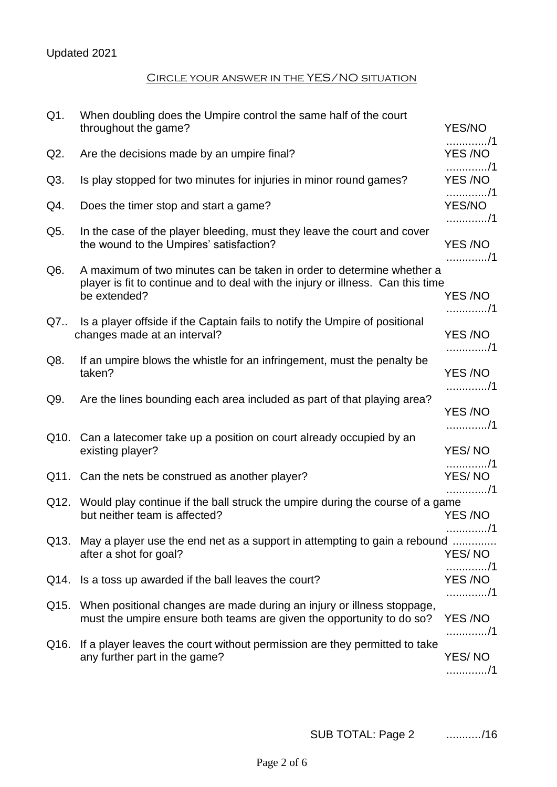## Updated 2021

#### Circle your answer in the YES/NO situation

| $Q1$ . | When doubling does the Umpire control the same half of the court<br>throughout the game?                                                                                 | YES/NO                    |
|--------|--------------------------------------------------------------------------------------------------------------------------------------------------------------------------|---------------------------|
| Q2.    | Are the decisions made by an umpire final?                                                                                                                               | . / 1<br>YES /NO          |
| Q3.    | Is play stopped for two minutes for injuries in minor round games?                                                                                                       | . / 1<br>YES /NO          |
| Q4.    | Does the timer stop and start a game?                                                                                                                                    | . / 1<br>YES/NO<br>. / 1  |
| Q5.    | In the case of the player bleeding, must they leave the court and cover<br>the wound to the Umpires' satisfaction?                                                       | YES /NO                   |
| Q6.    | A maximum of two minutes can be taken in order to determine whether a<br>player is fit to continue and to deal with the injury or illness. Can this time<br>be extended? | . / 1<br>YES /NO<br>. / 1 |
| Q7     | Is a player offside if the Captain fails to notify the Umpire of positional<br>changes made at an interval?                                                              | YES /NO<br>. / 1          |
| Q8.    | If an umpire blows the whistle for an infringement, must the penalty be<br>taken?                                                                                        | YES /NO                   |
| Q9.    | Are the lines bounding each area included as part of that playing area?                                                                                                  | . / 1<br>YES /NO          |
| Q10.   | Can a latecomer take up a position on court already occupied by an<br>existing player?                                                                                   | . / 1<br>YES/NO           |
|        | Q11. Can the nets be construed as another player?                                                                                                                        | . / 1<br>YES/NO<br>. / 1  |
|        | Q12. Would play continue if the ball struck the umpire during the course of a game<br>but neither team is affected?                                                      | YES /NO                   |
| Q13.   | May a player use the end net as a support in attempting to gain a rebound<br>after a shot for goal?                                                                      | . / 1<br>YES/NO           |
| Q14.   | Is a toss up awarded if the ball leaves the court?                                                                                                                       | . / 1<br>YES /NO<br>. / 1 |
| Q15.   | When positional changes are made during an injury or illness stoppage,<br>must the umpire ensure both teams are given the opportunity to do so?                          | YES /NO                   |
| Q16.   | If a player leaves the court without permission are they permitted to take<br>any further part in the game?                                                              | . / 1<br>YES/NO<br>. / 1  |

SUB TOTAL: Page 2 .........../16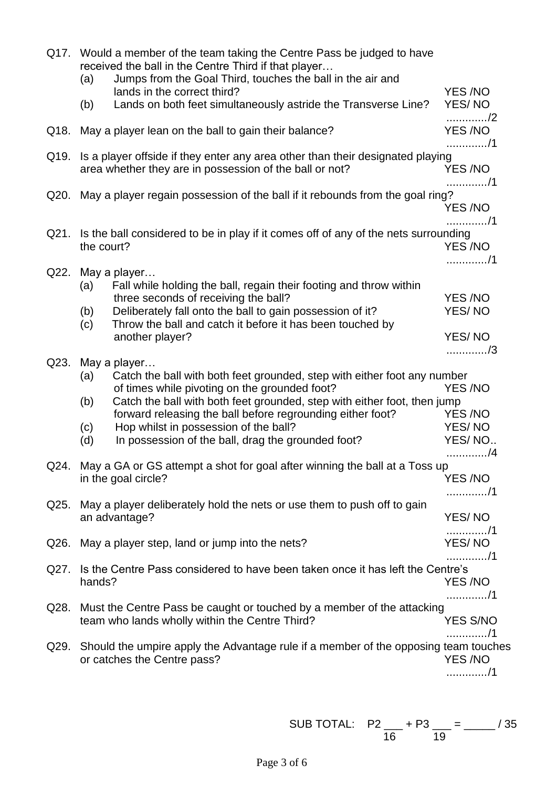|      |            | Q17. Would a member of the team taking the Centre Pass be judged to have<br>received the ball in the Centre Third if that player               |                           |
|------|------------|------------------------------------------------------------------------------------------------------------------------------------------------|---------------------------|
|      | (a)        | Jumps from the Goal Third, touches the ball in the air and<br>lands in the correct third?                                                      | YES/NO                    |
|      | (b)        | Lands on both feet simultaneously astride the Transverse Line?                                                                                 | YES/NO                    |
| Q18. |            | May a player lean on the ball to gain their balance?                                                                                           | /2<br>YES /NO<br>. / 1    |
|      |            | Q19. Is a player offside if they enter any area other than their designated playing<br>area whether they are in possession of the ball or not? | YES /NO                   |
| Q20. |            | May a player regain possession of the ball if it rebounds from the goal ring?                                                                  | . / 1<br>YES /NO          |
|      | the court? | Q21. Is the ball considered to be in play if it comes off of any of the nets surrounding                                                       | . / 1<br>YES /NO<br>. / 1 |
| Q22. |            | May a player                                                                                                                                   |                           |
|      | (a)        | Fall while holding the ball, regain their footing and throw within<br>three seconds of receiving the ball?                                     | YES/NO                    |
|      | (b)        | Deliberately fall onto the ball to gain possession of it?                                                                                      | YES/NO                    |
|      | (c)        | Throw the ball and catch it before it has been touched by<br>another player?                                                                   | YES/NO                    |
|      |            |                                                                                                                                                | /3                        |
| Q23. |            | May a player<br>Catch the ball with both feet grounded, step with either foot any number                                                       |                           |
|      | (a)        | of times while pivoting on the grounded foot?                                                                                                  | YES /NO                   |
|      | (b)        | Catch the ball with both feet grounded, step with either foot, then jump                                                                       |                           |
|      | (c)        | forward releasing the ball before regrounding either foot?<br>Hop whilst in possession of the ball?                                            | YES /NO<br>YES/NO         |
|      | (d)        | In possession of the ball, drag the grounded foot?                                                                                             | YES/NO                    |
|      |            |                                                                                                                                                | . /4                      |
|      |            | Q24. May a GA or GS attempt a shot for goal after winning the ball at a Toss up<br>in the goal circle?                                         | YES /NO                   |
|      |            |                                                                                                                                                | . / 1                     |
| Q25. |            | May a player deliberately hold the nets or use them to push off to gain<br>an advantage?                                                       | YES/NO                    |
|      |            |                                                                                                                                                | . / 1                     |
|      |            | Q26. May a player step, land or jump into the nets?                                                                                            | YES/NO                    |
|      |            | Q27. Is the Centre Pass considered to have been taken once it has left the Centre's                                                            | . / 1                     |
|      | hands?     |                                                                                                                                                | <b>YES/NO</b><br>. / 1    |
| Q28. |            | Must the Centre Pass be caught or touched by a member of the attacking                                                                         |                           |
|      |            | team who lands wholly within the Centre Third?                                                                                                 | <b>YES S/NO</b>           |
| Q29. |            | Should the umpire apply the Advantage rule if a member of the opposing team touches                                                            | . / 1                     |
|      |            | or catches the Centre pass?                                                                                                                    | <b>YES/NO</b>             |
|      |            |                                                                                                                                                | . / 1                     |
|      |            |                                                                                                                                                |                           |

SUB TOTAL: P2 \_\_\_ + P3 \_\_\_ = \_\_\_\_\_ / 35  $16$  and  $19$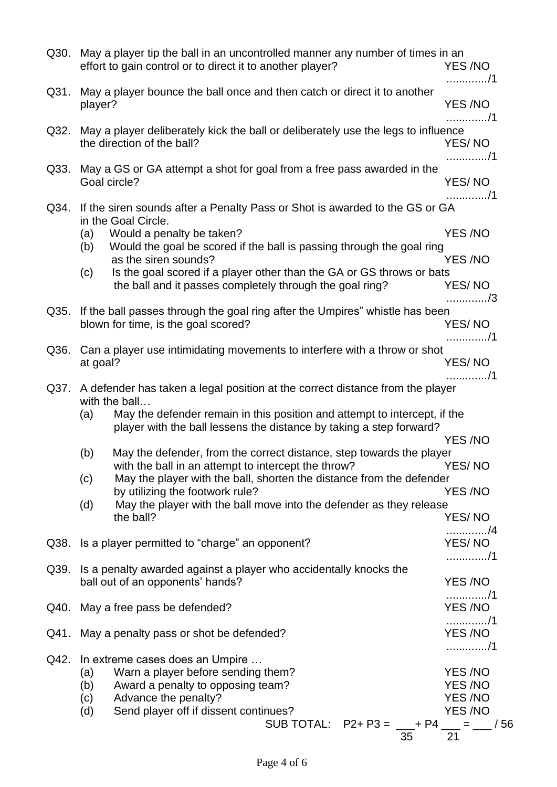|      |                          | Q30. May a player tip the ball in an uncontrolled manner any number of times in an<br>effort to gain control or to direct it to another player?                                                                      | YES /NO<br>. / 1                                                          |
|------|--------------------------|----------------------------------------------------------------------------------------------------------------------------------------------------------------------------------------------------------------------|---------------------------------------------------------------------------|
|      | player?                  | Q31. May a player bounce the ball once and then catch or direct it to another                                                                                                                                        | <b>YES/NO</b>                                                             |
| Q32. |                          | May a player deliberately kick the ball or deliberately use the legs to influence<br>the direction of the ball?                                                                                                      | . / 1<br>YES/NO                                                           |
| Q33. |                          | May a GS or GA attempt a shot for goal from a free pass awarded in the<br>Goal circle?                                                                                                                               | . / 1<br>YES/NO                                                           |
| Q34. | (a)                      | If the siren sounds after a Penalty Pass or Shot is awarded to the GS or GA<br>in the Goal Circle.<br>Would a penalty be taken?                                                                                      | . / 1<br><b>YES/NO</b>                                                    |
|      | (b)<br>(c)               | Would the goal be scored if the ball is passing through the goal ring<br>as the siren sounds?<br>Is the goal scored if a player other than the GA or GS throws or bats                                               | <b>YES/NO</b>                                                             |
|      |                          | the ball and it passes completely through the goal ring?                                                                                                                                                             | YES/NO<br>. / 3                                                           |
| Q35. |                          | If the ball passes through the goal ring after the Umpires" whistle has been<br>blown for time, is the goal scored?                                                                                                  | YES/NO<br>. / 1                                                           |
| Q36. | at goal?                 | Can a player use intimidating movements to interfere with a throw or shot                                                                                                                                            | YES/NO                                                                    |
| Q37. | (a)                      | A defender has taken a legal position at the correct distance from the player<br>with the ball<br>May the defender remain in this position and attempt to intercept, if the                                          | . /1                                                                      |
|      |                          | player with the ball lessens the distance by taking a step forward?                                                                                                                                                  | <b>YES/NO</b>                                                             |
|      | (b)<br>(c)               | May the defender, from the correct distance, step towards the player<br>with the ball in an attempt to intercept the throw?<br>May the player with the ball, shorten the distance from the defender                  | YES/NO                                                                    |
|      | (d)                      | by utilizing the footwork rule?<br>May the player with the ball move into the defender as they release<br>the ball?                                                                                                  | <b>YES/NO</b><br>YES/NO                                                   |
| Q38. |                          | Is a player permitted to "charge" an opponent?                                                                                                                                                                       | . /4<br>YES/NO                                                            |
|      |                          | Q39. Is a penalty awarded against a player who accidentally knocks the<br>ball out of an opponents' hands?                                                                                                           | . / 1<br>YES /NO                                                          |
|      |                          | Q40. May a free pass be defended?                                                                                                                                                                                    | . / 1<br><b>YES/NO</b>                                                    |
| Q41. |                          | May a penalty pass or shot be defended?                                                                                                                                                                              | . / 1<br><b>YES/NO</b>                                                    |
| Q42. | (a)<br>(b)<br>(c)<br>(d) | In extreme cases does an Umpire<br>Warn a player before sending them?<br>Award a penalty to opposing team?<br>Advance the penalty?<br>Send player off if dissent continues?<br>SUB TOTAL: $P2 + P3 = 4P4 = 50$<br>35 | . / 1<br>YES /NO<br><b>YES/NO</b><br><b>YES/NO</b><br><b>YES/NO</b><br>21 |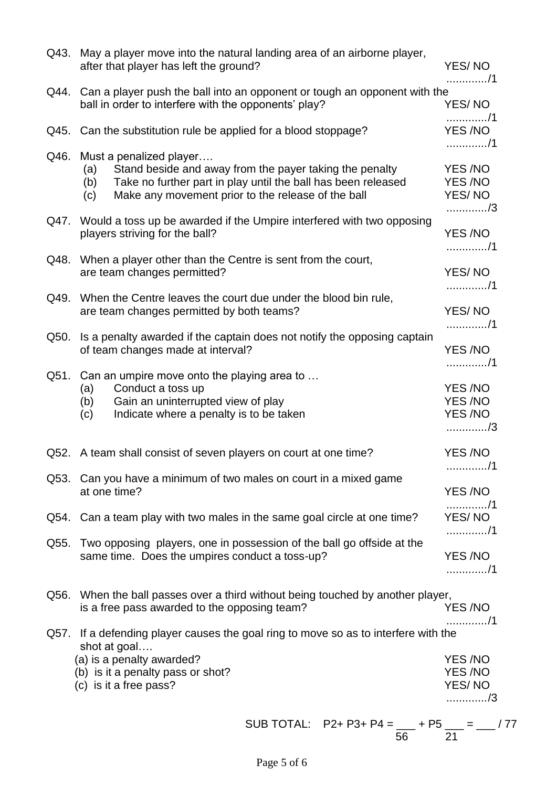| Q44. Can a player push the ball into an opponent or tough an opponent with the<br>ball in order to interfere with the opponents' play?<br>YES/NO<br>. / 1<br>Q45. Can the substitution rule be applied for a blood stoppage?<br>YES /NO<br>. / 1<br>Must a penalized player<br>Q46.<br>Stand beside and away from the payer taking the penalty<br>YES /NO<br>(a)<br>Take no further part in play until the ball has been released<br>YES /NO<br>(b)<br>Make any movement prior to the release of the ball<br>YES/NO<br>(c)<br>/3<br>Q47. Would a toss up be awarded if the Umpire interfered with two opposing<br>YES/NO<br>players striving for the ball?<br>. / 1<br>Q48. When a player other than the Centre is sent from the court,<br>YES/NO<br>are team changes permitted?<br>. / 1<br>When the Centre leaves the court due under the blood bin rule,<br>Q49.<br>YES/NO<br>are team changes permitted by both teams?<br>. / 1<br>Is a penalty awarded if the captain does not notify the opposing captain<br>Q50.<br>of team changes made at interval?<br>YES/NO<br>. / 1<br>Q51.<br>Can an umpire move onto the playing area to<br>Conduct a toss up<br>YES/NO<br>(a)<br>Gain an uninterrupted view of play<br>YES /NO<br>(b)<br><b>YES/NO</b><br>Indicate where a penalty is to be taken<br>(c)<br>/3<br>YES /NO<br>Q52. A team shall consist of seven players on court at one time?<br>. / 1<br>Q53. Can you have a minimum of two males on court in a mixed game<br>at one time?<br>YES /NO<br>. / 1<br>Q54. Can a team play with two males in the same goal circle at one time?<br>YES/NO<br>. / 1<br>Q55. Two opposing players, one in possession of the ball go offside at the<br>YES/NO<br>same time. Does the umpires conduct a toss-up?<br>. / 1<br>Q56. When the ball passes over a third without being touched by another player,<br>is a free pass awarded to the opposing team?<br>YES/NO<br>. /1<br>Q57. If a defending player causes the goal ring to move so as to interfere with the<br>shot at goal<br>(a) is a penalty awarded?<br>YES/NO<br>YES /NO<br>(b) is it a penalty pass or shot?<br>(c) is it a free pass?<br>YES/NO<br>/3<br>SUB TOTAL: $P2+P3+P4 =$ ___ + P5 ___ = ___ / 77 | Q43. May a player move into the natural landing area of an airborne player,<br>after that player has left the ground? | YES/NO<br>. / 1 |
|------------------------------------------------------------------------------------------------------------------------------------------------------------------------------------------------------------------------------------------------------------------------------------------------------------------------------------------------------------------------------------------------------------------------------------------------------------------------------------------------------------------------------------------------------------------------------------------------------------------------------------------------------------------------------------------------------------------------------------------------------------------------------------------------------------------------------------------------------------------------------------------------------------------------------------------------------------------------------------------------------------------------------------------------------------------------------------------------------------------------------------------------------------------------------------------------------------------------------------------------------------------------------------------------------------------------------------------------------------------------------------------------------------------------------------------------------------------------------------------------------------------------------------------------------------------------------------------------------------------------------------------------------------------------------------------------------------------------------------------------------------------------------------------------------------------------------------------------------------------------------------------------------------------------------------------------------------------------------------------------------------------------------------------------------------------------------------------------------------------------------------------------------------------------------------------------------------------|-----------------------------------------------------------------------------------------------------------------------|-----------------|
|                                                                                                                                                                                                                                                                                                                                                                                                                                                                                                                                                                                                                                                                                                                                                                                                                                                                                                                                                                                                                                                                                                                                                                                                                                                                                                                                                                                                                                                                                                                                                                                                                                                                                                                                                                                                                                                                                                                                                                                                                                                                                                                                                                                                                  |                                                                                                                       |                 |
|                                                                                                                                                                                                                                                                                                                                                                                                                                                                                                                                                                                                                                                                                                                                                                                                                                                                                                                                                                                                                                                                                                                                                                                                                                                                                                                                                                                                                                                                                                                                                                                                                                                                                                                                                                                                                                                                                                                                                                                                                                                                                                                                                                                                                  |                                                                                                                       |                 |
|                                                                                                                                                                                                                                                                                                                                                                                                                                                                                                                                                                                                                                                                                                                                                                                                                                                                                                                                                                                                                                                                                                                                                                                                                                                                                                                                                                                                                                                                                                                                                                                                                                                                                                                                                                                                                                                                                                                                                                                                                                                                                                                                                                                                                  |                                                                                                                       |                 |
|                                                                                                                                                                                                                                                                                                                                                                                                                                                                                                                                                                                                                                                                                                                                                                                                                                                                                                                                                                                                                                                                                                                                                                                                                                                                                                                                                                                                                                                                                                                                                                                                                                                                                                                                                                                                                                                                                                                                                                                                                                                                                                                                                                                                                  |                                                                                                                       |                 |
|                                                                                                                                                                                                                                                                                                                                                                                                                                                                                                                                                                                                                                                                                                                                                                                                                                                                                                                                                                                                                                                                                                                                                                                                                                                                                                                                                                                                                                                                                                                                                                                                                                                                                                                                                                                                                                                                                                                                                                                                                                                                                                                                                                                                                  |                                                                                                                       |                 |
|                                                                                                                                                                                                                                                                                                                                                                                                                                                                                                                                                                                                                                                                                                                                                                                                                                                                                                                                                                                                                                                                                                                                                                                                                                                                                                                                                                                                                                                                                                                                                                                                                                                                                                                                                                                                                                                                                                                                                                                                                                                                                                                                                                                                                  |                                                                                                                       |                 |
|                                                                                                                                                                                                                                                                                                                                                                                                                                                                                                                                                                                                                                                                                                                                                                                                                                                                                                                                                                                                                                                                                                                                                                                                                                                                                                                                                                                                                                                                                                                                                                                                                                                                                                                                                                                                                                                                                                                                                                                                                                                                                                                                                                                                                  |                                                                                                                       |                 |
|                                                                                                                                                                                                                                                                                                                                                                                                                                                                                                                                                                                                                                                                                                                                                                                                                                                                                                                                                                                                                                                                                                                                                                                                                                                                                                                                                                                                                                                                                                                                                                                                                                                                                                                                                                                                                                                                                                                                                                                                                                                                                                                                                                                                                  |                                                                                                                       |                 |
|                                                                                                                                                                                                                                                                                                                                                                                                                                                                                                                                                                                                                                                                                                                                                                                                                                                                                                                                                                                                                                                                                                                                                                                                                                                                                                                                                                                                                                                                                                                                                                                                                                                                                                                                                                                                                                                                                                                                                                                                                                                                                                                                                                                                                  |                                                                                                                       |                 |
|                                                                                                                                                                                                                                                                                                                                                                                                                                                                                                                                                                                                                                                                                                                                                                                                                                                                                                                                                                                                                                                                                                                                                                                                                                                                                                                                                                                                                                                                                                                                                                                                                                                                                                                                                                                                                                                                                                                                                                                                                                                                                                                                                                                                                  |                                                                                                                       |                 |
|                                                                                                                                                                                                                                                                                                                                                                                                                                                                                                                                                                                                                                                                                                                                                                                                                                                                                                                                                                                                                                                                                                                                                                                                                                                                                                                                                                                                                                                                                                                                                                                                                                                                                                                                                                                                                                                                                                                                                                                                                                                                                                                                                                                                                  |                                                                                                                       |                 |
|                                                                                                                                                                                                                                                                                                                                                                                                                                                                                                                                                                                                                                                                                                                                                                                                                                                                                                                                                                                                                                                                                                                                                                                                                                                                                                                                                                                                                                                                                                                                                                                                                                                                                                                                                                                                                                                                                                                                                                                                                                                                                                                                                                                                                  |                                                                                                                       |                 |
|                                                                                                                                                                                                                                                                                                                                                                                                                                                                                                                                                                                                                                                                                                                                                                                                                                                                                                                                                                                                                                                                                                                                                                                                                                                                                                                                                                                                                                                                                                                                                                                                                                                                                                                                                                                                                                                                                                                                                                                                                                                                                                                                                                                                                  |                                                                                                                       |                 |
|                                                                                                                                                                                                                                                                                                                                                                                                                                                                                                                                                                                                                                                                                                                                                                                                                                                                                                                                                                                                                                                                                                                                                                                                                                                                                                                                                                                                                                                                                                                                                                                                                                                                                                                                                                                                                                                                                                                                                                                                                                                                                                                                                                                                                  |                                                                                                                       |                 |
|                                                                                                                                                                                                                                                                                                                                                                                                                                                                                                                                                                                                                                                                                                                                                                                                                                                                                                                                                                                                                                                                                                                                                                                                                                                                                                                                                                                                                                                                                                                                                                                                                                                                                                                                                                                                                                                                                                                                                                                                                                                                                                                                                                                                                  |                                                                                                                       |                 |
| 56<br>21                                                                                                                                                                                                                                                                                                                                                                                                                                                                                                                                                                                                                                                                                                                                                                                                                                                                                                                                                                                                                                                                                                                                                                                                                                                                                                                                                                                                                                                                                                                                                                                                                                                                                                                                                                                                                                                                                                                                                                                                                                                                                                                                                                                                         |                                                                                                                       |                 |